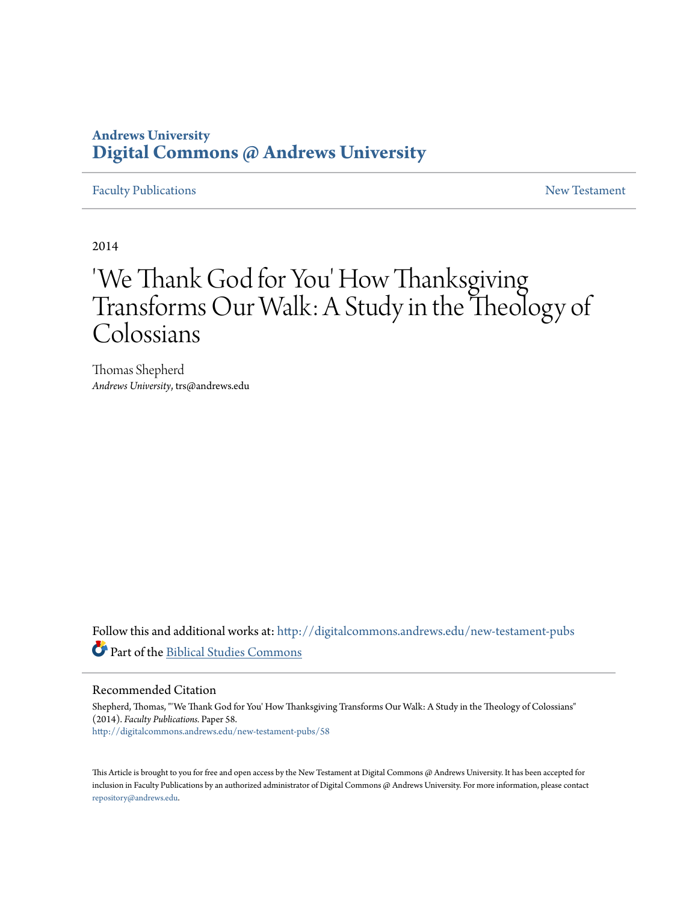# **Andrews University [Digital Commons @ Andrews University](http://digitalcommons.andrews.edu?utm_source=digitalcommons.andrews.edu%2Fnew-testament-pubs%2F58&utm_medium=PDF&utm_campaign=PDFCoverPages)**

# [Faculty Publications](http://digitalcommons.andrews.edu/new-testament-pubs?utm_source=digitalcommons.andrews.edu%2Fnew-testament-pubs%2F58&utm_medium=PDF&utm_campaign=PDFCoverPages) **[New Testament](http://digitalcommons.andrews.edu/new-testament?utm_source=digitalcommons.andrews.edu%2Fnew-testament-pubs%2F58&utm_medium=PDF&utm_campaign=PDFCoverPages)**  $\sim$  New Testament

2014

# 'We Thank God for You' How Thanksgiving Transforms Our Walk: A Study in the Theology of Colossians

Thomas Shepherd *Andrews University*, trs@andrews.edu

Follow this and additional works at: [http://digitalcommons.andrews.edu/new-testament-pubs](http://digitalcommons.andrews.edu/new-testament-pubs?utm_source=digitalcommons.andrews.edu%2Fnew-testament-pubs%2F58&utm_medium=PDF&utm_campaign=PDFCoverPages) Part of the [Biblical Studies Commons](http://network.bepress.com/hgg/discipline/539?utm_source=digitalcommons.andrews.edu%2Fnew-testament-pubs%2F58&utm_medium=PDF&utm_campaign=PDFCoverPages)

# Recommended Citation

Shepherd, Thomas, "'We Thank God for You' How Thanksgiving Transforms Our Walk: A Study in the Theology of Colossians" (2014). *Faculty Publications.* Paper 58. [http://digitalcommons.andrews.edu/new-testament-pubs/58](http://digitalcommons.andrews.edu/new-testament-pubs/58?utm_source=digitalcommons.andrews.edu%2Fnew-testament-pubs%2F58&utm_medium=PDF&utm_campaign=PDFCoverPages)

This Article is brought to you for free and open access by the New Testament at Digital Commons @ Andrews University. It has been accepted for inclusion in Faculty Publications by an authorized administrator of Digital Commons @ Andrews University. For more information, please contact [repository@andrews.edu](mailto:repository@andrews.edu).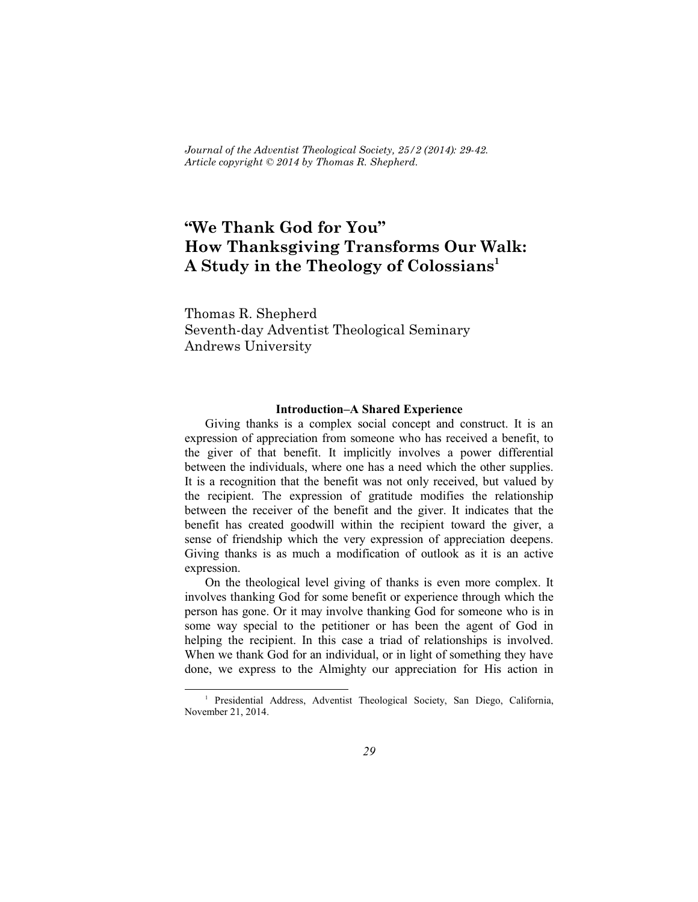*Journal of the Adventist Theological Society, 25/2 (2014): 29-42. Article copyright © 2014 by Thomas R. Shepherd.*

# **"We Thank God for You" How Thanksgiving Transforms Our Walk: A Study in the Theology of Colossians 1**

Thomas R. Shepherd Seventh-day Adventist Theological Seminary Andrews University

#### **Introduction–A Shared Experience**

Giving thanks is a complex social concept and construct. It is an expression of appreciation from someone who has received a benefit, to the giver of that benefit. It implicitly involves a power differential between the individuals, where one has a need which the other supplies. It is a recognition that the benefit was not only received, but valued by the recipient. The expression of gratitude modifies the relationship between the receiver of the benefit and the giver. It indicates that the benefit has created goodwill within the recipient toward the giver, a sense of friendship which the very expression of appreciation deepens. Giving thanks is as much a modification of outlook as it is an active expression.

On the theological level giving of thanks is even more complex. It involves thanking God for some benefit or experience through which the person has gone. Or it may involve thanking God for someone who is in some way special to the petitioner or has been the agent of God in helping the recipient. In this case a triad of relationships is involved. When we thank God for an individual, or in light of something they have done, we express to the Almighty our appreciation for His action in

<sup>&</sup>lt;sup>1</sup> Presidential Address, Adventist Theological Society, San Diego, California, November 21, 2014.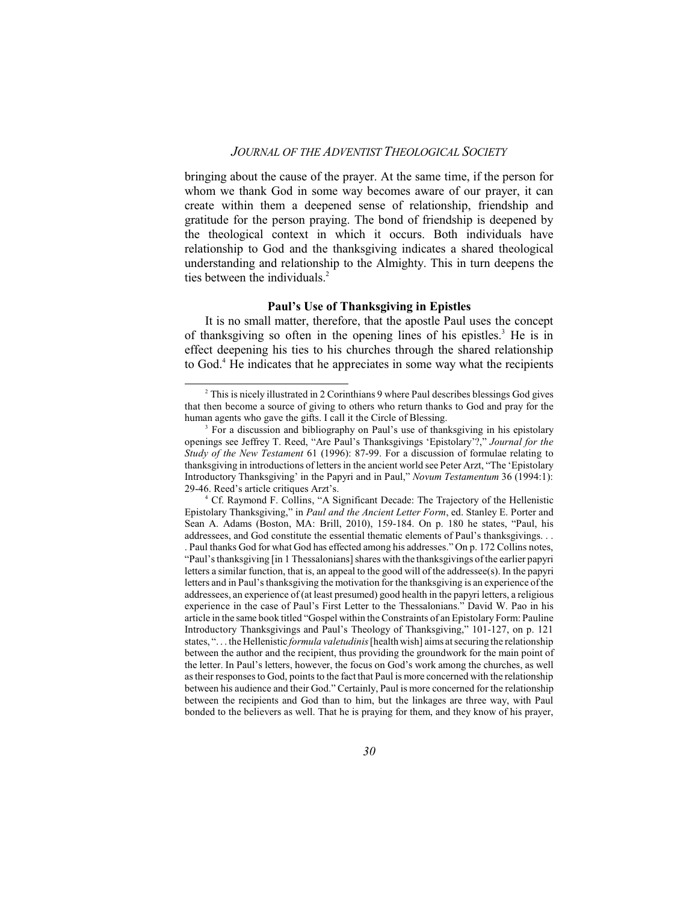bringing about the cause of the prayer. At the same time, if the person for whom we thank God in some way becomes aware of our prayer, it can create within them a deepened sense of relationship, friendship and gratitude for the person praying. The bond of friendship is deepened by the theological context in which it occurs. Both individuals have relationship to God and the thanksgiving indicates a shared theological understanding and relationship to the Almighty. This in turn deepens the ties between the individuals. 2

#### **Paul's Use of Thanksgiving in Epistles**

It is no small matter, therefore, that the apostle Paul uses the concept of thanksgiving so often in the opening lines of his epistles. <sup>3</sup> He is in effect deepening his ties to his churches through the shared relationship to God.<sup>4</sup> He indicates that he appreciates in some way what the recipients

<sup>&</sup>lt;sup>2</sup> This is nicely illustrated in 2 Corinthians 9 where Paul describes blessings God gives that then become a source of giving to others who return thanks to God and pray for the human agents who gave the gifts. I call it the Circle of Blessing.

<sup>&</sup>lt;sup>3</sup> For a discussion and bibliography on Paul's use of thanksgiving in his epistolary openings see Jeffrey T. Reed, "Are Paul's Thanksgivings 'Epistolary'?," *Journal for the Study of the New Testament* 61 (1996): 87-99. For a discussion of formulae relating to thanksgiving in introductions of letters in the ancient world see Peter Arzt, "The 'Epistolary Introductory Thanksgiving' in the Papyri and in Paul," *Novum Testamentum* 36 (1994:1): 29-46. Reed's article critiques Arzt's.

<sup>4</sup> Cf. Raymond F. Collins, "A Significant Decade: The Trajectory of the Hellenistic Epistolary Thanksgiving," in *Paul and the Ancient Letter Form*, ed. Stanley E. Porter and Sean A. Adams (Boston, MA: Brill, 2010), 159-184. On p. 180 he states, "Paul, his addressees, and God constitute the essential thematic elements of Paul's thanksgivings. . . . Paul thanks God for what God has effected among his addresses." On p. 172 Collins notes, "Paul's thanksgiving [in 1 Thessalonians] shares with the thanksgivings of the earlier papyri letters a similar function, that is, an appeal to the good will of the addressee(s). In the papyri letters and in Paul's thanksgiving the motivation for the thanksgiving is an experience ofthe addressees, an experience of (at least presumed) good health in the papyri letters, a religious experience in the case of Paul's First Letter to the Thessalonians." David W. Pao in his article in the same book titled "Gospel within the Constraints of an Epistolary Form: Pauline Introductory Thanksgivings and Paul's Theology of Thanksgiving," 101-127, on p. 121 states, ". . . the Hellenistic *formula valetudinis*[health wish] aims at securing the relationship between the author and the recipient, thus providing the groundwork for the main point of the letter. In Paul's letters, however, the focus on God's work among the churches, as well as their responses to God, points to the fact that Paul is more concerned with the relationship between his audience and their God." Certainly, Paul is more concerned for the relationship between the recipients and God than to him, but the linkages are three way, with Paul bonded to the believers as well. That he is praying for them, and they know of his prayer,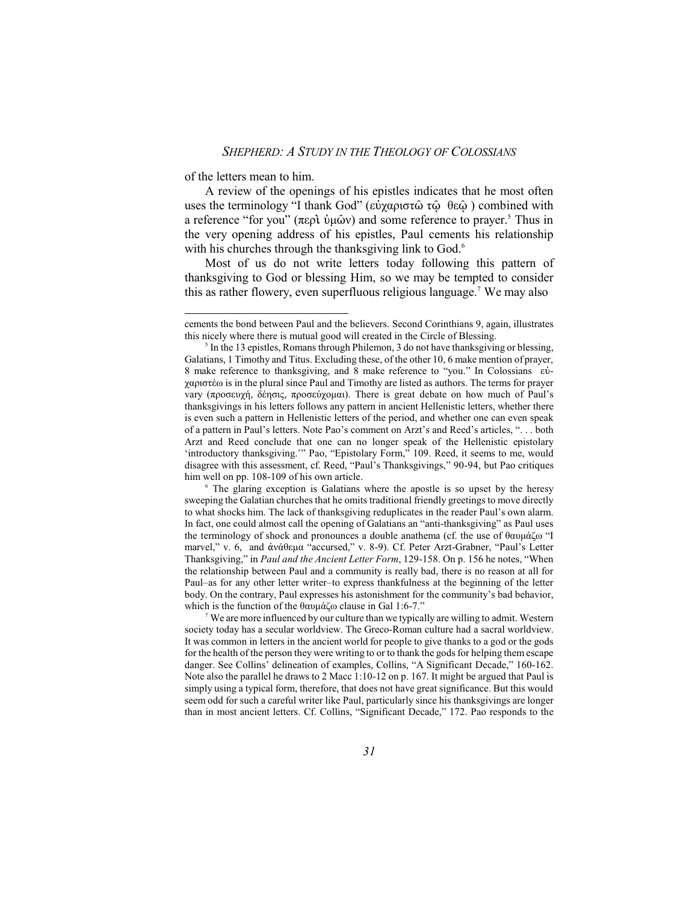of the letters mean to him.

A review of the openings of his epistles indicates that he most often uses the terminology "I thank God" (εὐχαριστῶ τῷ θεῷ) combined with a reference "for you" (περὶ ὑμῶν) and some reference to prayer.<sup>5</sup> Thus in the very opening address of his epistles, Paul cements his relationship with his churches through the thanksgiving link to God.<sup>6</sup>

Most of us do not write letters today following this pattern of thanksgiving to God or blessing Him, so we may be tempted to consider this as rather flowery, even superfluous religious language. 7 We may also

 $7$  We are more influenced by our culture than we typically are willing to admit. Western society today has a secular worldview. The Greco-Roman culture had a sacral worldview. It was common in letters in the ancient world for people to give thanks to a god or the gods for the health of the person they were writing to or to thank the gods for helping them escape danger. See Collins' delineation of examples, Collins, "A Significant Decade," 160-162. Note also the parallel he draws to 2 Macc 1:10-12 on p. 167. It might be argued that Paul is simply using a typical form, therefore, that does not have great significance. But this would seem odd for such a careful writer like Paul, particularly since his thanksgivings are longer than in most ancient letters. Cf. Collins, "Significant Decade," 172. Pao responds to the

cements the bond between Paul and the believers. Second Corinthians 9, again, illustrates this nicely where there is mutual good will created in the Circle of Blessing.

<sup>&</sup>lt;sup>5</sup> In the 13 epistles, Romans through Philemon, 3 do not have thanksgiving or blessing, Galatians, 1 Timothy and Titus. Excluding these, of the other 10, 6 make mention of prayer, 8 make reference to thanksgiving, and 8 make reference to "you." In Colossians  $\varepsilon$ 0χαριστέω is in the plural since Paul and Timothy are listed as authors. The terms for prayer vary (προσευχή, δέησις, προσεύχομαι). There is great debate on how much of Paul's thanksgivings in his letters follows any pattern in ancient Hellenistic letters, whether there is even such a pattern in Hellenistic letters of the period, and whether one can even speak of a pattern in Paul's letters. Note Pao's comment on Arzt's and Reed's articles, ". . . both Arzt and Reed conclude that one can no longer speak of the Hellenistic epistolary 'introductory thanksgiving.'" Pao, "Epistolary Form," 109. Reed, it seems to me, would disagree with this assessment, cf. Reed, "Paul's Thanksgivings," 90-94, but Pao critiques him well on pp. 108-109 of his own article.

<sup>&</sup>lt;sup>6</sup> The glaring exception is Galatians where the apostle is so upset by the heresy sweeping the Galatian churches that he omits traditional friendly greetings to move directly to what shocks him. The lack of thanksgiving reduplicates in the reader Paul's own alarm. In fact, one could almost call the opening of Galatians an "anti-thanksgiving" as Paul uses the terminology of shock and pronounces a double anathema (cf. the use of  $\theta \alpha \nu \mu \dot{\alpha} \dot{\alpha}$  "I marvel," v. 6, and άνάθεμα "accursed," v. 8-9). Cf. Peter Arzt-Grabner, "Paul's Letter Thanksgiving," in *Paul and the Ancient Letter Form*, 129-158. On p. 156 he notes, "When the relationship between Paul and a community is really bad, there is no reason at all for Paul–as for any other letter writer–to express thankfulness at the beginning of the letter body. On the contrary, Paul expresses his astonishment for the community's bad behavior, which is the function of the  $\theta$ αυμάζω clause in Gal 1:6-7."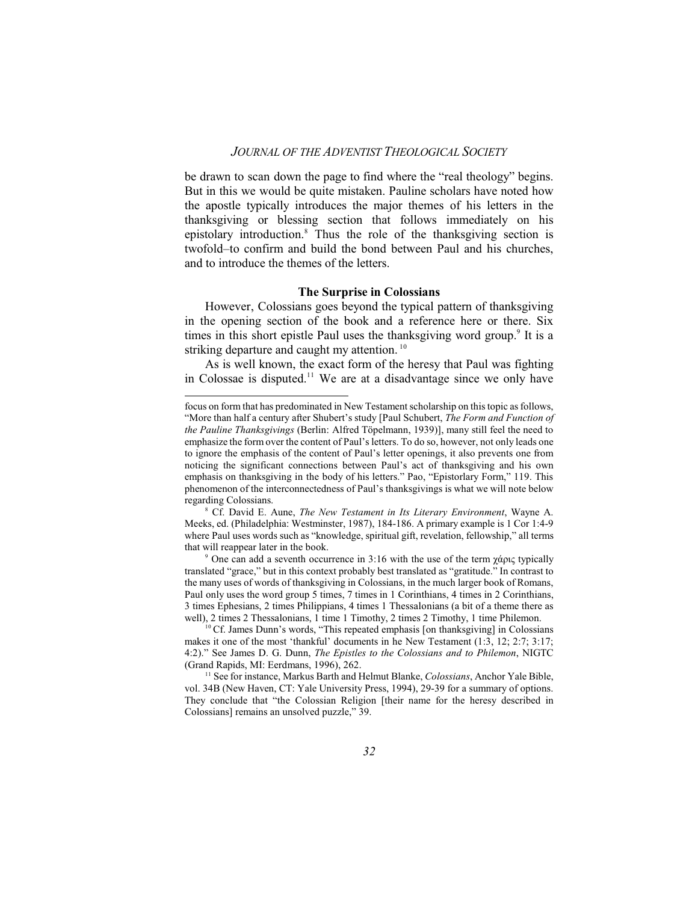be drawn to scan down the page to find where the "real theology" begins. But in this we would be quite mistaken. Pauline scholars have noted how the apostle typically introduces the major themes of his letters in the thanksgiving or blessing section that follows immediately on his epistolary introduction.<sup>8</sup> Thus the role of the thanksgiving section is twofold–to confirm and build the bond between Paul and his churches, and to introduce the themes of the letters.

#### **The Surprise in Colossians**

However, Colossians goes beyond the typical pattern of thanksgiving in the opening section of the book and a reference here or there. Six times in this short epistle Paul uses the thanksgiving word group.<sup>9</sup> It is a striking departure and caught my attention.<sup>10</sup>

As is well known, the exact form of the heresy that Paul was fighting in Colossae is disputed.<sup>11</sup> We are at a disadvantage since we only have

focus on form that has predominated in New Testament scholarship on this topic as follows, "More than half a century after Shubert's study [Paul Schubert, *The Form and Function of the Pauline Thanksgivings* (Berlin: Alfred Töpelmann, 1939)], many still feel the need to emphasize the form over the content of Paul's letters. To do so, however, not only leads one to ignore the emphasis of the content of Paul's letter openings, it also prevents one from noticing the significant connections between Paul's act of thanksgiving and his own emphasis on thanksgiving in the body of his letters." Pao, "Epistorlary Form," 119. This phenomenon of the interconnectedness of Paul's thanksgivings is what we will note below regarding Colossians.

<sup>8</sup> Cf. David E. Aune, *The New Testament in Its Literary Environment*, Wayne A. Meeks, ed. (Philadelphia: Westminster, 1987), 184-186. A primary example is 1 Cor 1:4-9 where Paul uses words such as "knowledge, spiritual gift, revelation, fellowship," all terms that will reappear later in the book.

<sup>&</sup>lt;sup>9</sup> One can add a seventh occurrence in 3:16 with the use of the term  $\chi \dot{\alpha}$  typically translated "grace," but in this context probably best translated as "gratitude." In contrast to the many uses of words of thanksgiving in Colossians, in the much larger book of Romans, Paul only uses the word group 5 times, 7 times in 1 Corinthians, 4 times in 2 Corinthians, 3 times Ephesians, 2 times Philippians, 4 times 1 Thessalonians (a bit of a theme there as well), 2 times 2 Thessalonians, 1 time 1 Timothy, 2 times 2 Timothy, 1 time Philemon.

<sup>&</sup>lt;sup>10</sup> Cf. James Dunn's words, "This repeated emphasis [on thanksgiving] in Colossians makes it one of the most 'thankful' documents in he New Testament (1:3, 12; 2:7; 3:17; 4:2)." See James D. G. Dunn, *The Epistles to the Colossians and to Philemon*, NIGTC (Grand Rapids, MI: Eerdmans, 1996), 262.

<sup>11</sup> See for instance, Markus Barth and Helmut Blanke, *Colossians*, Anchor Yale Bible, vol. 34B (New Haven, CT: Yale University Press, 1994), 29-39 for a summary of options. They conclude that "the Colossian Religion [their name for the heresy described in Colossians] remains an unsolved puzzle," 39.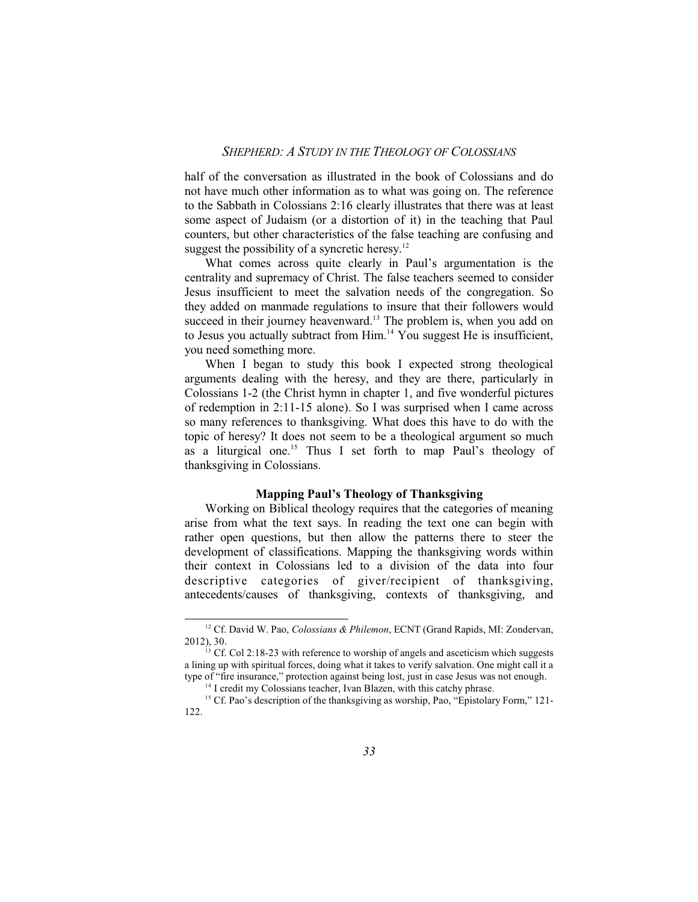half of the conversation as illustrated in the book of Colossians and do not have much other information as to what was going on. The reference to the Sabbath in Colossians 2:16 clearly illustrates that there was at least some aspect of Judaism (or a distortion of it) in the teaching that Paul counters, but other characteristics of the false teaching are confusing and suggest the possibility of a syncretic heresy.<sup>12</sup>

What comes across quite clearly in Paul's argumentation is the centrality and supremacy of Christ. The false teachers seemed to consider Jesus insufficient to meet the salvation needs of the congregation. So they added on manmade regulations to insure that their followers would succeed in their journey heavenward.<sup>13</sup> The problem is, when you add on to Jesus you actually subtract from Him. <sup>14</sup> You suggest He is insufficient, you need something more.

When I began to study this book I expected strong theological arguments dealing with the heresy, and they are there, particularly in Colossians 1-2 (the Christ hymn in chapter 1, and five wonderful pictures of redemption in 2:11-15 alone). So I was surprised when I came across so many references to thanksgiving. What does this have to do with the topic of heresy? It does not seem to be a theological argument so much as a liturgical one. <sup>15</sup> Thus I set forth to map Paul's theology of thanksgiving in Colossians.

#### **Mapping Paul's Theology of Thanksgiving**

Working on Biblical theology requires that the categories of meaning arise from what the text says. In reading the text one can begin with rather open questions, but then allow the patterns there to steer the development of classifications. Mapping the thanksgiving words within their context in Colossians led to a division of the data into four descriptive categories of giver/recipient of thanksgiving, antecedents/causes of thanksgiving, contexts of thanksgiving, and

<sup>12</sup> Cf. David W. Pao, *Colossians & Philemon*, ECNT (Grand Rapids, MI: Zondervan, 2012), 30.

<sup>&</sup>lt;sup>13</sup> Cf. Col 2:18-23 with reference to worship of angels and asceticism which suggests a lining up with spiritual forces, doing what it takes to verify salvation. One might call it a type of "fire insurance," protection against being lost, just in case Jesus was not enough.

<sup>&</sup>lt;sup>14</sup> I credit my Colossians teacher, Ivan Blazen, with this catchy phrase.

<sup>&</sup>lt;sup>15</sup> Cf. Pao's description of the thanksgiving as worship, Pao, "Epistolary Form," 121-122.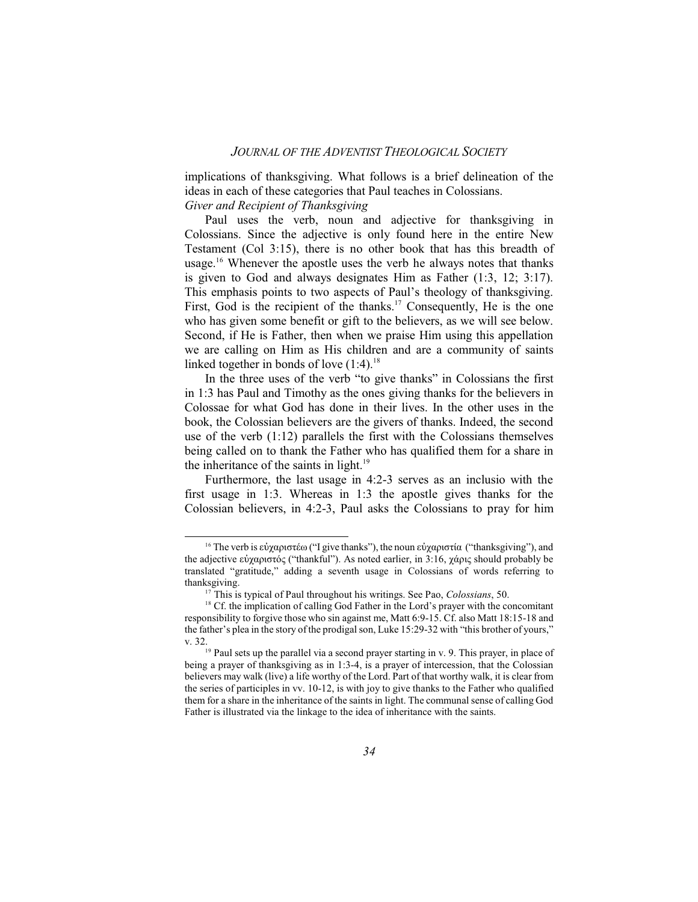implications of thanksgiving. What follows is a brief delineation of the ideas in each of these categories that Paul teaches in Colossians. *Giver and Recipient of Thanksgiving*

Paul uses the verb, noun and adjective for thanksgiving in Colossians. Since the adjective is only found here in the entire New Testament (Col 3:15), there is no other book that has this breadth of usage. <sup>16</sup> Whenever the apostle uses the verb he always notes that thanks is given to God and always designates Him as Father (1:3, 12; 3:17). This emphasis points to two aspects of Paul's theology of thanksgiving. First, God is the recipient of the thanks.<sup>17</sup> Consequently, He is the one who has given some benefit or gift to the believers, as we will see below. Second, if He is Father, then when we praise Him using this appellation we are calling on Him as His children and are a community of saints linked together in bonds of love (1:4).<sup>18</sup>

In the three uses of the verb "to give thanks" in Colossians the first in 1:3 has Paul and Timothy as the ones giving thanks for the believers in Colossae for what God has done in their lives. In the other uses in the book, the Colossian believers are the givers of thanks. Indeed, the second use of the verb (1:12) parallels the first with the Colossians themselves being called on to thank the Father who has qualified them for a share in the inheritance of the saints in light.<sup>19</sup>

Furthermore, the last usage in 4:2-3 serves as an inclusio with the first usage in 1:3. Whereas in 1:3 the apostle gives thanks for the Colossian believers, in 4:2-3, Paul asks the Colossians to pray for him

<sup>&</sup>lt;sup>16</sup> The verb is εὐχαριστέω ("I give thanks"), the noun εὐχαριστία ("thanksgiving"), and the adjective εὐχαριστός ("thankful"). As noted earlier, in 3:16, χάρις should probably be translated "gratitude," adding a seventh usage in Colossians of words referring to thanksgiving.

<sup>&</sup>lt;sup>17</sup> This is typical of Paul throughout his writings. See Pao, *Colossians*, 50.

<sup>&</sup>lt;sup>18</sup> Cf. the implication of calling God Father in the Lord's prayer with the concomitant responsibility to forgive those who sin against me, Matt 6:9-15. Cf. also Matt 18:15-18 and the father's plea in the story of the prodigal son, Luke 15:29-32 with "this brother of yours," v. 32.

<sup>&</sup>lt;sup>19</sup> Paul sets up the parallel via a second prayer starting in v. 9. This prayer, in place of being a prayer of thanksgiving as in 1:3-4, is a prayer of intercession, that the Colossian believers may walk (live) a life worthy of the Lord. Part of that worthy walk, it is clear from the series of participles in vv. 10-12, is with joy to give thanks to the Father who qualified them for a share in the inheritance of the saints in light. The communal sense of calling God Father is illustrated via the linkage to the idea of inheritance with the saints.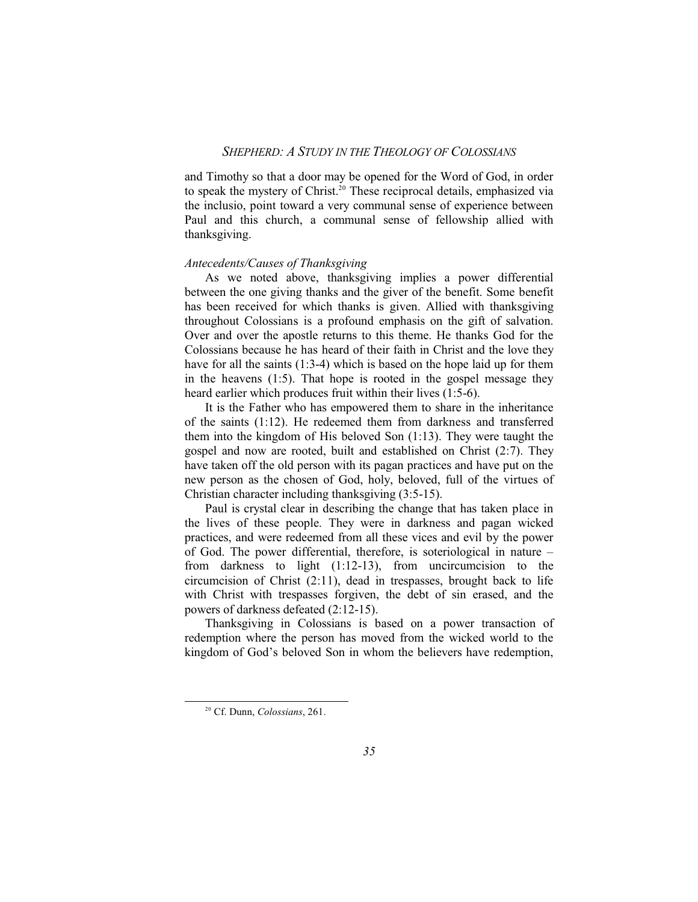and Timothy so that a door may be opened for the Word of God, in order to speak the mystery of Christ. <sup>20</sup> These reciprocal details, emphasized via the inclusio, point toward a very communal sense of experience between Paul and this church, a communal sense of fellowship allied with thanksgiving.

#### *Antecedents/Causes of Thanksgiving*

As we noted above, thanksgiving implies a power differential between the one giving thanks and the giver of the benefit. Some benefit has been received for which thanks is given. Allied with thanksgiving throughout Colossians is a profound emphasis on the gift of salvation. Over and over the apostle returns to this theme. He thanks God for the Colossians because he has heard of their faith in Christ and the love they have for all the saints (1:3-4) which is based on the hope laid up for them in the heavens (1:5). That hope is rooted in the gospel message they heard earlier which produces fruit within their lives (1:5-6).

It is the Father who has empowered them to share in the inheritance of the saints (1:12). He redeemed them from darkness and transferred them into the kingdom of His beloved Son (1:13). They were taught the gospel and now are rooted, built and established on Christ (2:7). They have taken off the old person with its pagan practices and have put on the new person as the chosen of God, holy, beloved, full of the virtues of Christian character including thanksgiving (3:5-15).

Paul is crystal clear in describing the change that has taken place in the lives of these people. They were in darkness and pagan wicked practices, and were redeemed from all these vices and evil by the power of God. The power differential, therefore, is soteriological in nature – from darkness to light (1:12-13), from uncircumcision to the circumcision of Christ (2:11), dead in trespasses, brought back to life with Christ with trespasses forgiven, the debt of sin erased, and the powers of darkness defeated (2:12-15).

Thanksgiving in Colossians is based on a power transaction of redemption where the person has moved from the wicked world to the kingdom of God's beloved Son in whom the believers have redemption,

<sup>20</sup> Cf. Dunn, *Colossians*, 261.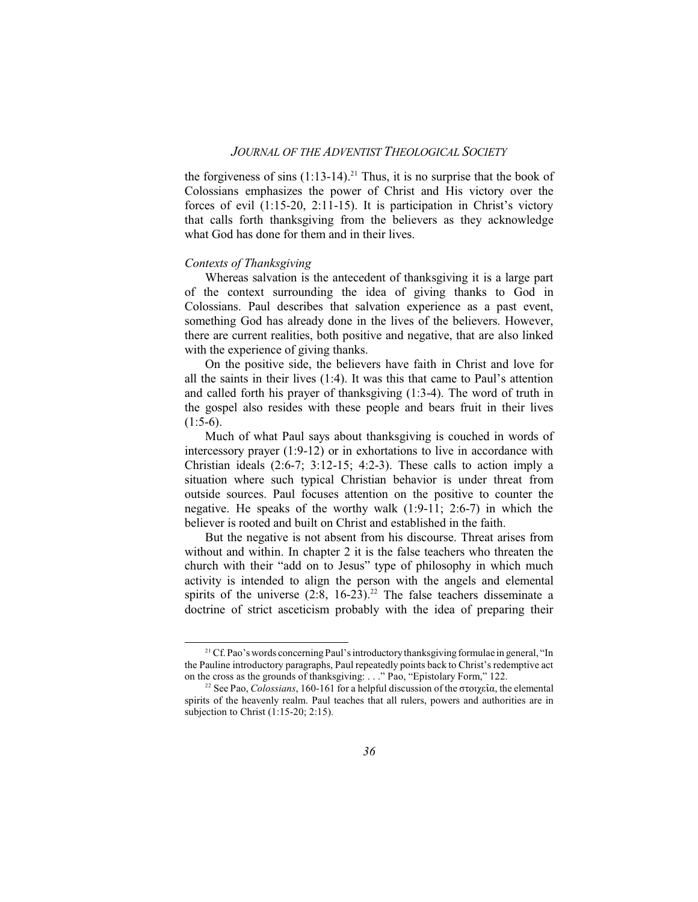the forgiveness of sins  $(1:13-14).^{21}$  Thus, it is no surprise that the book of Colossians emphasizes the power of Christ and His victory over the forces of evil (1:15-20, 2:11-15). It is participation in Christ's victory that calls forth thanksgiving from the believers as they acknowledge what God has done for them and in their lives.

#### *Contexts of Thanksgiving*

Whereas salvation is the antecedent of thanksgiving it is a large part of the context surrounding the idea of giving thanks to God in Colossians. Paul describes that salvation experience as a past event, something God has already done in the lives of the believers. However, there are current realities, both positive and negative, that are also linked with the experience of giving thanks.

On the positive side, the believers have faith in Christ and love for all the saints in their lives (1:4). It was this that came to Paul's attention and called forth his prayer of thanksgiving (1:3-4). The word of truth in the gospel also resides with these people and bears fruit in their lives  $(1:5-6)$ .

Much of what Paul says about thanksgiving is couched in words of intercessory prayer (1:9-12) or in exhortations to live in accordance with Christian ideals  $(2:6-7; 3:12-15; 4:2-3)$ . These calls to action imply a situation where such typical Christian behavior is under threat from outside sources. Paul focuses attention on the positive to counter the negative. He speaks of the worthy walk (1:9-11; 2:6-7) in which the believer is rooted and built on Christ and established in the faith.

But the negative is not absent from his discourse. Threat arises from without and within. In chapter 2 it is the false teachers who threaten the church with their "add on to Jesus" type of philosophy in which much activity is intended to align the person with the angels and elemental spirits of the universe  $(2.8, 16-23).^{22}$  The false teachers disseminate a doctrine of strict asceticism probably with the idea of preparing their

<sup>&</sup>lt;sup>21</sup> Cf. Pao's words concerning Paul's introductory thanksgiving formulae in general, "In the Pauline introductory paragraphs, Paul repeatedly points back to Christ's redemptive act on the cross as the grounds of thanksgiving: . . ." Pao, "Epistolary Form," 122.

<sup>&</sup>lt;sup>22</sup> See Pao, *Colossians*, 160-161 for a helpful discussion of the  $\sigma \tau \omega \epsilon \hat{\imath} \alpha$ , the elemental spirits of the heavenly realm. Paul teaches that all rulers, powers and authorities are in subjection to Christ (1:15-20; 2:15).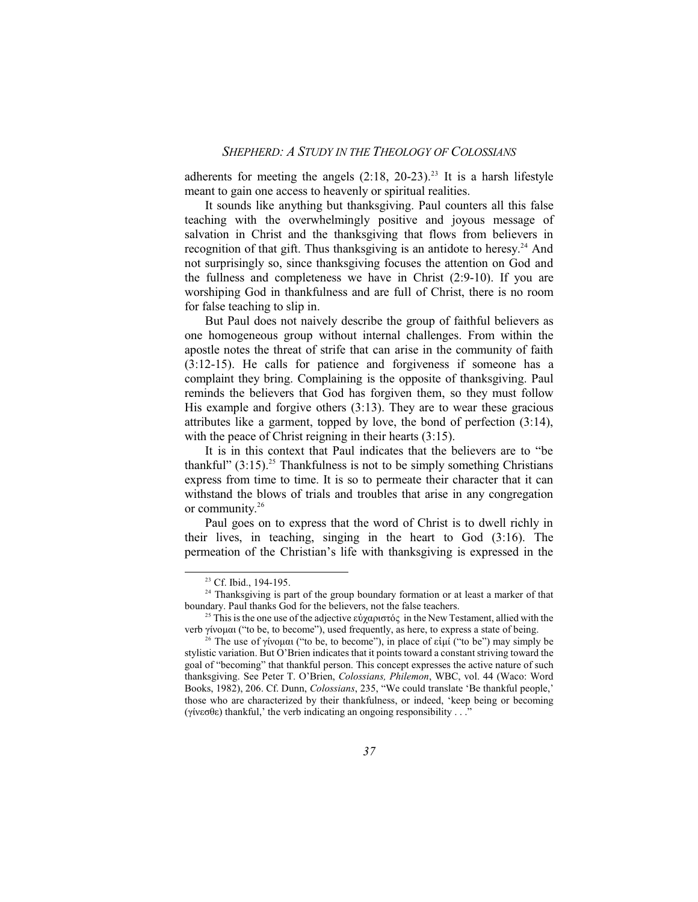adherents for meeting the angels (2:18, 20-23). 23 It is a harsh lifestyle meant to gain one access to heavenly or spiritual realities.

It sounds like anything but thanksgiving. Paul counters all this false teaching with the overwhelmingly positive and joyous message of salvation in Christ and the thanksgiving that flows from believers in recognition of that gift. Thus thanksgiving is an antidote to heresy.<sup>24</sup> And not surprisingly so, since thanksgiving focuses the attention on God and the fullness and completeness we have in Christ (2:9-10). If you are worshiping God in thankfulness and are full of Christ, there is no room for false teaching to slip in.

But Paul does not naively describe the group of faithful believers as one homogeneous group without internal challenges. From within the apostle notes the threat of strife that can arise in the community of faith (3:12-15). He calls for patience and forgiveness if someone has a complaint they bring. Complaining is the opposite of thanksgiving. Paul reminds the believers that God has forgiven them, so they must follow His example and forgive others (3:13). They are to wear these gracious attributes like a garment, topped by love, the bond of perfection (3:14), with the peace of Christ reigning in their hearts  $(3:15)$ .

It is in this context that Paul indicates that the believers are to "be thankful" (3:15). <sup>25</sup> Thankfulness is not to be simply something Christians express from time to time. It is so to permeate their character that it can withstand the blows of trials and troubles that arise in any congregation or community. 26

Paul goes on to express that the word of Christ is to dwell richly in their lives, in teaching, singing in the heart to God (3:16). The permeation of the Christian's life with thanksgiving is expressed in the

<sup>23</sup> Cf. Ibid., 194-195.

<sup>&</sup>lt;sup>24</sup> Thanksgiving is part of the group boundary formation or at least a marker of that boundary. Paul thanks God for the believers, not the false teachers.

<sup>&</sup>lt;sup>25</sup> This is the one use of the adjective  $\epsilon \dot{\nu} \chi \alpha \rho$  to  $\tau \dot{\nu} \zeta$  in the New Testament, allied with the verb γίνομαι ("to be, to become"), used frequently, as here, to express a state of being.

<sup>&</sup>lt;sup>26</sup> The use of  $\gamma$ *i*voµ $\alpha$ <sub>1</sub> ("to be, to become"), in place of  $\varepsilon$ *i*µ*i* ("to be") may simply be stylistic variation. But O'Brien indicates that it points toward a constant striving toward the goal of "becoming" that thankful person. This concept expresses the active nature of such thanksgiving. See Peter T. O'Brien, *Colossians, Philemon*, WBC, vol. 44 (Waco: Word Books, 1982), 206. Cf. Dunn, *Colossians*, 235, "We could translate 'Be thankful people,' those who are characterized by their thankfulness, or indeed, 'keep being or becoming (γίνεσθε) thankful,' the verb indicating an ongoing responsibility . . ."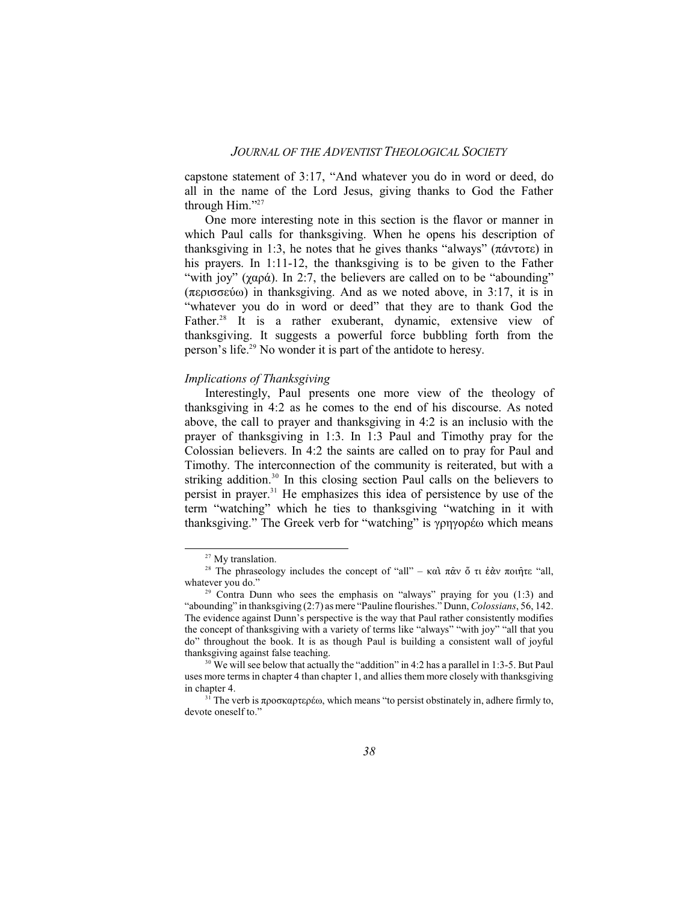capstone statement of 3:17, "And whatever you do in word or deed, do all in the name of the Lord Jesus, giving thanks to God the Father through Him."<sup>27</sup>

One more interesting note in this section is the flavor or manner in which Paul calls for thanksgiving. When he opens his description of thanksgiving in 1:3, he notes that he gives thanks "always" ( $\pi \hat{\alpha} \nu \tau \sigma \tau \epsilon$ ) in his prayers. In 1:11-12, the thanksgiving is to be given to the Father "with joy" ( $\gamma \alpha \rho \dot{\alpha}$ ). In 2:7, the believers are called on to be "abounding"  $(περισσεύω)$  in thanksgiving. And as we noted above, in 3:17, it is in "whatever you do in word or deed" that they are to thank God the Father.<sup>28</sup> It is a rather exuberant, dynamic, extensive view of thanksgiving. It suggests a powerful force bubbling forth from the person's life. 29 No wonder it is part of the antidote to heresy.

#### *Implications of Thanksgiving*

Interestingly, Paul presents one more view of the theology of thanksgiving in 4:2 as he comes to the end of his discourse. As noted above, the call to prayer and thanksgiving in 4:2 is an inclusio with the prayer of thanksgiving in 1:3. In 1:3 Paul and Timothy pray for the Colossian believers. In 4:2 the saints are called on to pray for Paul and Timothy. The interconnection of the community is reiterated, but with a striking addition.<sup>30</sup> In this closing section Paul calls on the believers to persist in prayer. <sup>31</sup> He emphasizes this idea of persistence by use of the term "watching" which he ties to thanksgiving "watching in it with thanksgiving." The Greek verb for "watching" is γρηγορέω which means

<sup>&</sup>lt;sup>27</sup> My translation.

<sup>&</sup>lt;sup>28</sup> The phraseology includes the concept of "all" –  $\kappa \alpha \hat{i} \pi \hat{\alpha} \hat{v} \hat{o} \pi \hat{i} \hat{\alpha} \hat{v} \pi$   $\hat{\alpha} \hat{\eta} \tau \hat{\epsilon}$ "all, whatever you do."

<sup>&</sup>lt;sup>29</sup> Contra Dunn who sees the emphasis on "always" praying for you (1:3) and "abounding" in thanksgiving (2:7) as mere "Pauline flourishes." Dunn, *Colossians*, 56, 142. The evidence against Dunn's perspective is the way that Paul rather consistently modifies the concept of thanksgiving with a variety of terms like "always" "with joy" "all that you do" throughout the book. It is as though Paul is building a consistent wall of joyful thanksgiving against false teaching.

 $30$  We will see below that actually the "addition" in 4:2 has a parallel in 1:3-5. But Paul uses more terms in chapter 4 than chapter 1, and allies them more closely with thanksgiving in chanter 4.

<sup>&</sup>lt;sup>31</sup> The verb is  $\pi \rho$ <sup>0</sup> $\sigma \kappa \alpha \rho \tau \epsilon \rho \epsilon \omega$ , which means "to persist obstinately in, adhere firmly to, devote oneself to."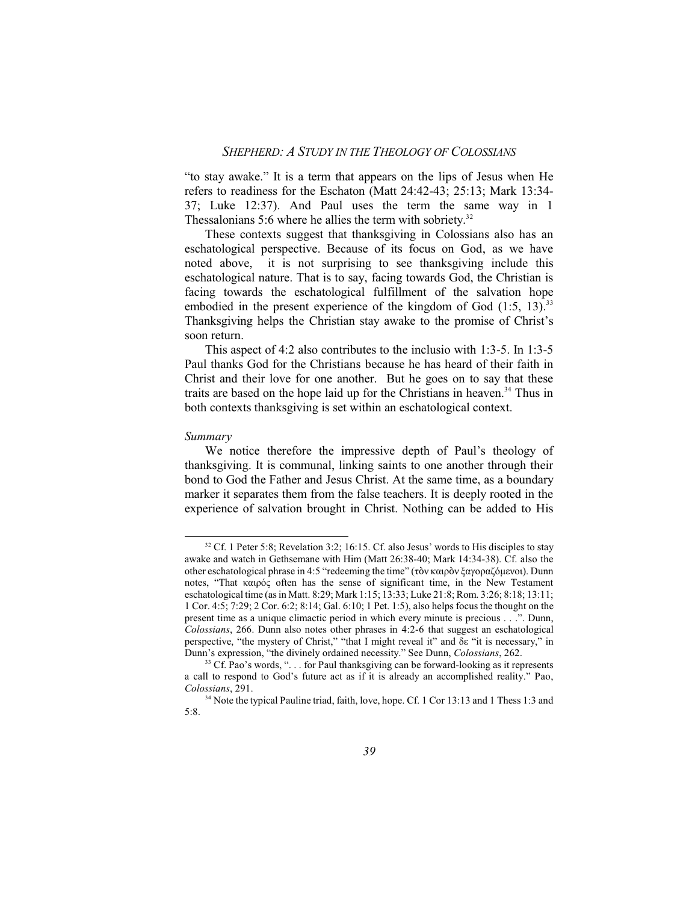"to stay awake." It is a term that appears on the lips of Jesus when He refers to readiness for the Eschaton (Matt 24:42-43; 25:13; Mark 13:34- 37; Luke 12:37). And Paul uses the term the same way in 1 Thessalonians 5:6 where he allies the term with sobriety.<sup>32</sup>

These contexts suggest that thanksgiving in Colossians also has an eschatological perspective. Because of its focus on God, as we have noted above, it is not surprising to see thanksgiving include this eschatological nature. That is to say, facing towards God, the Christian is facing towards the eschatological fulfillment of the salvation hope embodied in the present experience of the kingdom of God  $(1:5, 13).$ <sup>33</sup> Thanksgiving helps the Christian stay awake to the promise of Christ's soon return.

This aspect of 4:2 also contributes to the inclusio with 1:3-5. In 1:3-5 Paul thanks God for the Christians because he has heard of their faith in Christ and their love for one another. But he goes on to say that these traits are based on the hope laid up for the Christians in heaven.<sup>34</sup> Thus in both contexts thanksgiving is set within an eschatological context.

#### *Summary*

We notice therefore the impressive depth of Paul's theology of thanksgiving. It is communal, linking saints to one another through their bond to God the Father and Jesus Christ. At the same time, as a boundary marker it separates them from the false teachers. It is deeply rooted in the experience of salvation brought in Christ. Nothing can be added to His

 $32$  Cf. 1 Peter 5:8; Revelation 3:2; 16:15. Cf. also Jesus' words to His disciples to stay awake and watch in Gethsemane with Him (Matt 26:38-40; Mark 14:34-38). Cf. also the other eschatological phrase in 4:5 "redeeming the time" (τὸν καιρὸν ξαγοραζόμενοι). Dunn notes, "That  $\kappa \alpha \rho \dot{\varphi}$  often has the sense of significant time, in the New Testament eschatological time (as in Matt. 8:29; Mark 1:15; 13:33; Luke 21:8; Rom. 3:26; 8:18; 13:11; 1 Cor. 4:5; 7:29; 2 Cor. 6:2; 8:14; Gal. 6:10; 1 Pet. 1:5), also helps focus the thought on the present time as a unique climactic period in which every minute is precious . . .". Dunn, *Colossians*, 266. Dunn also notes other phrases in 4:2-6 that suggest an eschatological perspective, "the mystery of Christ," "that I might reveal it" and äå "it is necessary," in Dunn's expression, "the divinely ordained necessity." See Dunn, *Colossians*, 262.

 $33$  Cf. Pao's words, "... for Paul thanksgiving can be forward-looking as it represents a call to respond to God's future act as if it is already an accomplished reality." Pao, *Colossians*, 291.

<sup>&</sup>lt;sup>34</sup> Note the typical Pauline triad, faith, love, hope. Cf. 1 Cor 13:13 and 1 Thess 1:3 and 5:8.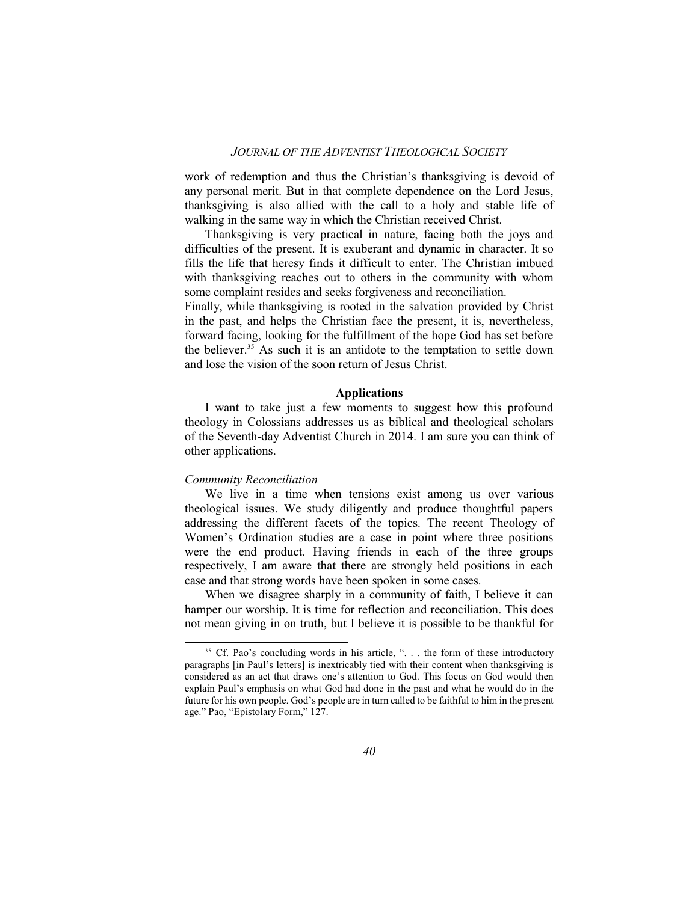work of redemption and thus the Christian's thanksgiving is devoid of any personal merit. But in that complete dependence on the Lord Jesus, thanksgiving is also allied with the call to a holy and stable life of walking in the same way in which the Christian received Christ.

Thanksgiving is very practical in nature, facing both the joys and difficulties of the present. It is exuberant and dynamic in character. It so fills the life that heresy finds it difficult to enter. The Christian imbued with thanksgiving reaches out to others in the community with whom some complaint resides and seeks forgiveness and reconciliation.

Finally, while thanksgiving is rooted in the salvation provided by Christ in the past, and helps the Christian face the present, it is, nevertheless, forward facing, looking for the fulfillment of the hope God has set before the believer. <sup>35</sup> As such it is an antidote to the temptation to settle down and lose the vision of the soon return of Jesus Christ.

#### **Applications**

I want to take just a few moments to suggest how this profound theology in Colossians addresses us as biblical and theological scholars of the Seventh-day Adventist Church in 2014. I am sure you can think of other applications.

#### *Community Reconciliation*

We live in a time when tensions exist among us over various theological issues. We study diligently and produce thoughtful papers addressing the different facets of the topics. The recent Theology of Women's Ordination studies are a case in point where three positions were the end product. Having friends in each of the three groups respectively, I am aware that there are strongly held positions in each case and that strong words have been spoken in some cases.

When we disagree sharply in a community of faith, I believe it can hamper our worship. It is time for reflection and reconciliation. This does not mean giving in on truth, but I believe it is possible to be thankful for

<sup>&</sup>lt;sup>35</sup> Cf. Pao's concluding words in his article, "... the form of these introductory paragraphs [in Paul's letters] is inextricably tied with their content when thanksgiving is considered as an act that draws one's attention to God. This focus on God would then explain Paul's emphasis on what God had done in the past and what he would do in the future for his own people. God's people are in turn called to be faithful to him in the present age." Pao, "Epistolary Form," 127.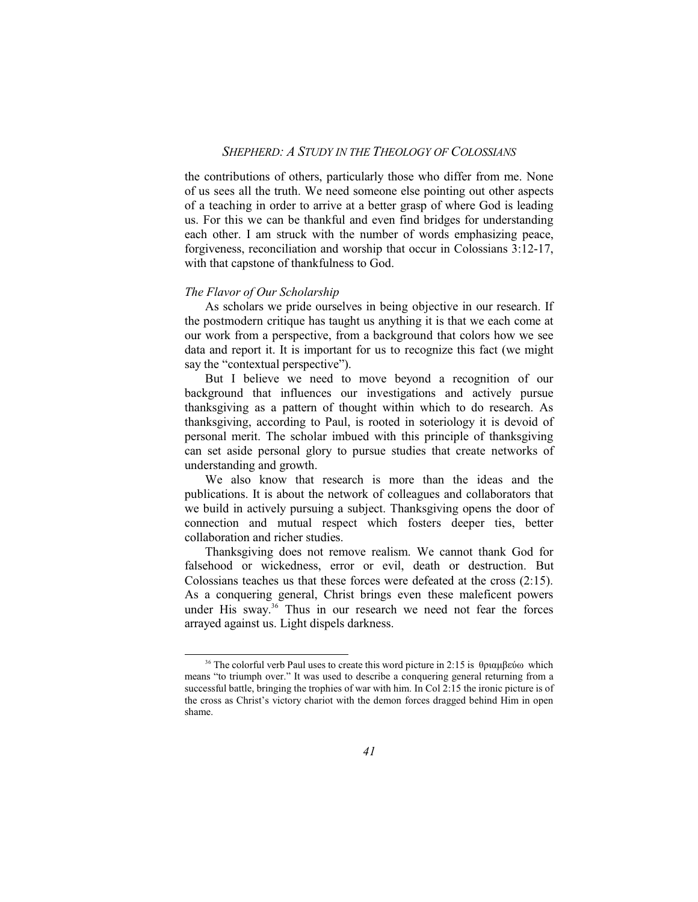the contributions of others, particularly those who differ from me. None of us sees all the truth. We need someone else pointing out other aspects of a teaching in order to arrive at a better grasp of where God is leading us. For this we can be thankful and even find bridges for understanding each other. I am struck with the number of words emphasizing peace, forgiveness, reconciliation and worship that occur in Colossians 3:12-17, with that capstone of thankfulness to God.

#### *The Flavor of Our Scholarship*

As scholars we pride ourselves in being objective in our research. If the postmodern critique has taught us anything it is that we each come at our work from a perspective, from a background that colors how we see data and report it. It is important for us to recognize this fact (we might say the "contextual perspective").

But I believe we need to move beyond a recognition of our background that influences our investigations and actively pursue thanksgiving as a pattern of thought within which to do research. As thanksgiving, according to Paul, is rooted in soteriology it is devoid of personal merit. The scholar imbued with this principle of thanksgiving can set aside personal glory to pursue studies that create networks of understanding and growth.

We also know that research is more than the ideas and the publications. It is about the network of colleagues and collaborators that we build in actively pursuing a subject. Thanksgiving opens the door of connection and mutual respect which fosters deeper ties, better collaboration and richer studies.

Thanksgiving does not remove realism. We cannot thank God for falsehood or wickedness, error or evil, death or destruction. But Colossians teaches us that these forces were defeated at the cross (2:15). As a conquering general, Christ brings even these maleficent powers under His sway. <sup>36</sup> Thus in our research we need not fear the forces arrayed against us. Light dispels darkness.

<sup>&</sup>lt;sup>36</sup> The colorful verb Paul uses to create this word picture in 2:15 is  $\theta$ ριαμβεύω which means "to triumph over." It was used to describe a conquering general returning from a successful battle, bringing the trophies of war with him. In Col 2:15 the ironic picture is of the cross as Christ's victory chariot with the demon forces dragged behind Him in open shame.